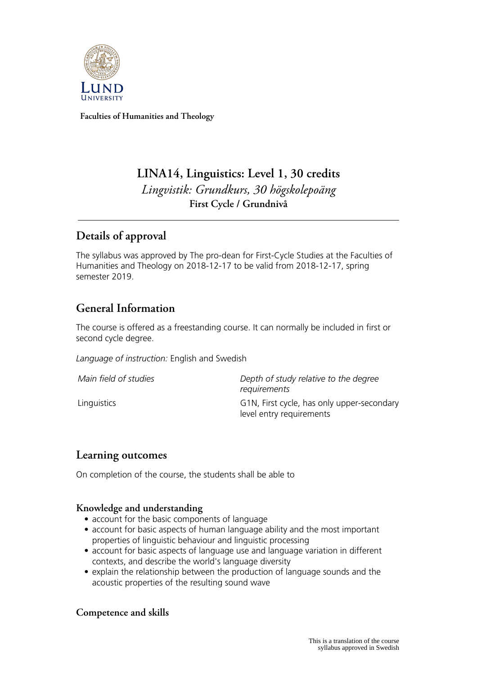

**Faculties of Humanities and Theology**

# **LINA14, Linguistics: Level 1, 30 credits** *Lingvistik: Grundkurs, 30 högskolepoäng* **First Cycle / Grundnivå**

# **Details of approval**

The syllabus was approved by The pro-dean for First-Cycle Studies at the Faculties of Humanities and Theology on 2018-12-17 to be valid from 2018-12-17, spring semester 2019.

# **General Information**

The course is offered as a freestanding course. It can normally be included in first or second cycle degree.

*Language of instruction:* English and Swedish

| Main field of studies | Depth of study relative to the degree<br>requirements                  |
|-----------------------|------------------------------------------------------------------------|
| Linguistics           | G1N, First cycle, has only upper-secondary<br>level entry requirements |

### **Learning outcomes**

On completion of the course, the students shall be able to

#### **Knowledge and understanding**

- account for the basic components of language
- account for basic aspects of human language ability and the most important properties of linguistic behaviour and linguistic processing
- account for basic aspects of language use and language variation in different contexts, and describe the world's language diversity
- explain the relationship between the production of language sounds and the acoustic properties of the resulting sound wave

### **Competence and skills**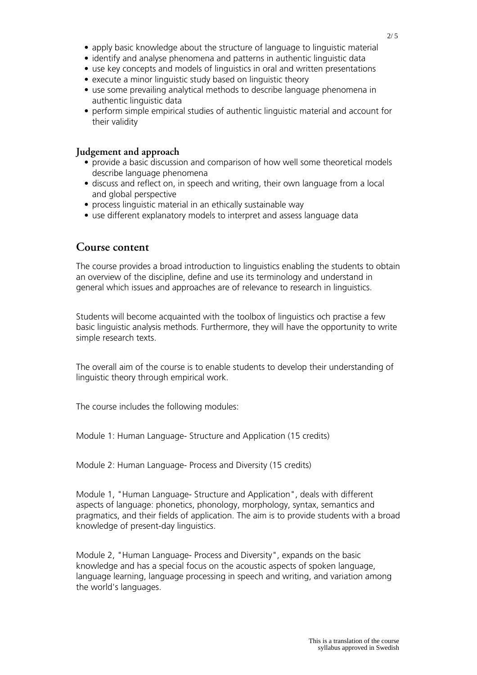- apply basic knowledge about the structure of language to linguistic material
- identify and analyse phenomena and patterns in authentic linguistic data
- use key concepts and models of linguistics in oral and written presentations
- execute a minor linguistic study based on linguistic theory
- use some prevailing analytical methods to describe language phenomena in authentic linguistic data
- perform simple empirical studies of authentic linguistic material and account for their validity

#### **Judgement and approach**

- provide a basic discussion and comparison of how well some theoretical models describe language phenomena
- discuss and reflect on, in speech and writing, their own language from a local and global perspective
- process linguistic material in an ethically sustainable way
- use different explanatory models to interpret and assess language data

### **Course content**

The course provides a broad introduction to linguistics enabling the students to obtain an overview of the discipline, define and use its terminology and understand in general which issues and approaches are of relevance to research in linguistics.

Students will become acquainted with the toolbox of linguistics och practise a few basic linguistic analysis methods. Furthermore, they will have the opportunity to write simple research texts.

The overall aim of the course is to enable students to develop their understanding of linguistic theory through empirical work.

The course includes the following modules:

Module 1: Human Language- Structure and Application (15 credits)

Module 2: Human Language- Process and Diversity (15 credits)

Module 1, "Human Language- Structure and Application", deals with different aspects of language: phonetics, phonology, morphology, syntax, semantics and pragmatics, and their fields of application. The aim is to provide students with a broad knowledge of present-day linguistics.

Module 2, "Human Language- Process and Diversity", expands on the basic knowledge and has a special focus on the acoustic aspects of spoken language, language learning, language processing in speech and writing, and variation among the world's languages.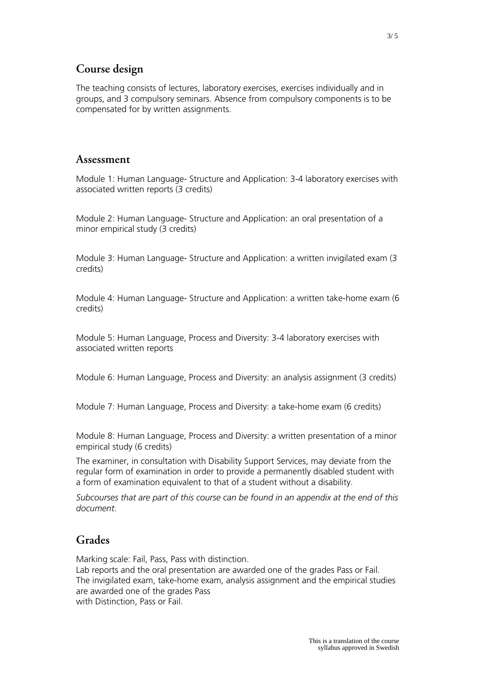## **Course design**

The teaching consists of lectures, laboratory exercises, exercises individually and in groups, and 3 compulsory seminars. Absence from compulsory components is to be compensated for by written assignments.

### **Assessment**

Module 1: Human Language- Structure and Application: 3-4 laboratory exercises with associated written reports (3 credits)

Module 2: Human Language- Structure and Application: an oral presentation of a minor empirical study (3 credits)

Module 3: Human Language- Structure and Application: a written invigilated exam (3 credits)

Module 4: Human Language- Structure and Application: a written take-home exam (6 credits)

Module 5: Human Language, Process and Diversity: 3-4 laboratory exercises with associated written reports

Module 6: Human Language, Process and Diversity: an analysis assignment (3 credits)

Module 7: Human Language, Process and Diversity: a take-home exam (6 credits)

Module 8: Human Language, Process and Diversity: a written presentation of a minor empirical study (6 credits)

The examiner, in consultation with Disability Support Services, may deviate from the regular form of examination in order to provide a permanently disabled student with a form of examination equivalent to that of a student without a disability.

*Subcourses that are part of this course can be found in an appendix at the end of this document.*

### **Grades**

Marking scale: Fail, Pass, Pass with distinction.

Lab reports and the oral presentation are awarded one of the grades Pass or Fail. The invigilated exam, take-home exam, analysis assignment and the empirical studies are awarded one of the grades Pass with Distinction, Pass or Fail.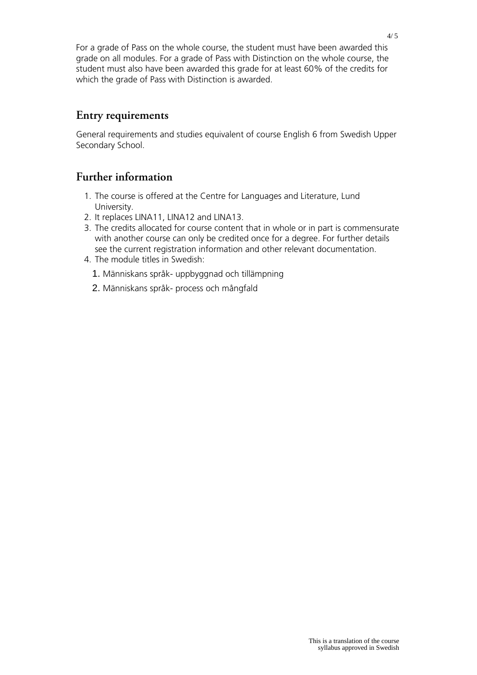For a grade of Pass on the whole course, the student must have been awarded this grade on all modules. For a grade of Pass with Distinction on the whole course, the student must also have been awarded this grade for at least 60% of the credits for which the grade of Pass with Distinction is awarded.

## **Entry requirements**

General requirements and studies equivalent of course English 6 from Swedish Upper Secondary School.

## **Further information**

- 1. The course is offered at the Centre for Languages and Literature, Lund University.
- 2. It replaces LINA11, LINA12 and LINA13.
- 3. The credits allocated for course content that in whole or in part is commensurate with another course can only be credited once for a degree. For further details see the current registration information and other relevant documentation.
- 4. The module titles in Swedish:
	- 1. Människans språk- uppbyggnad och tillämpning
	- 2. Människans språk- process och mångfald